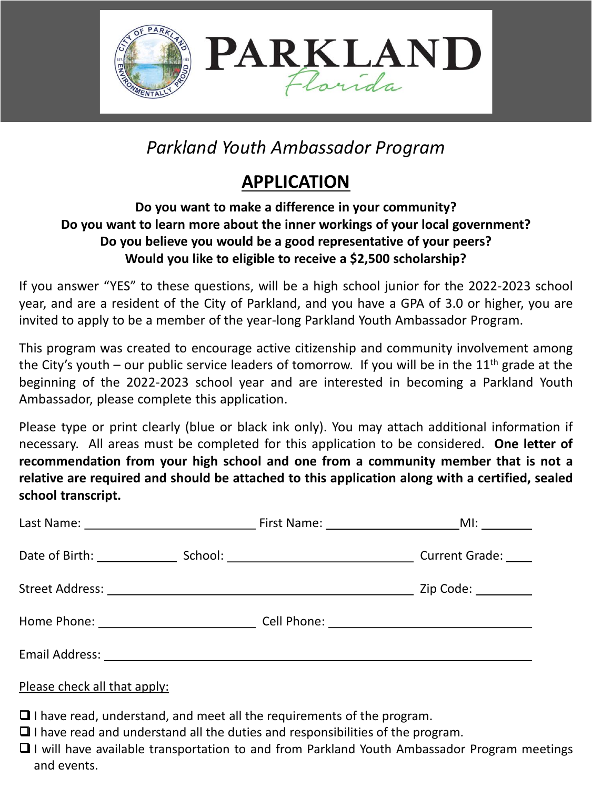

# *Parkland Youth Ambassador Program*

## **APPLICATION**

#### **Do you want to make a difference in your community? Do you want to learn more about the inner workings of your local government? Do you believe you would be a good representative of your peers? Would you like to eligible to receive a \$2,500 scholarship?**

If you answer "YES" to these questions, will be a high school junior for the 2022-2023 school year, and are a resident of the City of Parkland, and you have a GPA of 3.0 or higher, you are invited to apply to be a member of the year-long Parkland Youth Ambassador Program.

This program was created to encourage active citizenship and community involvement among the City's youth – our public service leaders of tomorrow. If you will be in the  $11<sup>th</sup>$  grade at the beginning of the 2022-2023 school year and are interested in becoming a Parkland Youth Ambassador, please complete this application.

Please type or print clearly (blue or black ink only). You may attach additional information if necessary. All areas must be completed for this application to be considered. **One letter of recommendation from your high school and one from a community member that is not a relative are required and should be attached to this application along with a certified, sealed school transcript.**

|  | First Name: MI: MI: |                     |
|--|---------------------|---------------------|
|  |                     |                     |
|  |                     | Zip Code: _________ |
|  |                     |                     |
|  |                     |                     |

#### Please check all that apply:

- ❑ I have read, understand, and meet all the requirements of the program.
- ❑ I have read and understand all the duties and responsibilities of the program.
- ❑ I will have available transportation to and from Parkland Youth Ambassador Program meetings and events.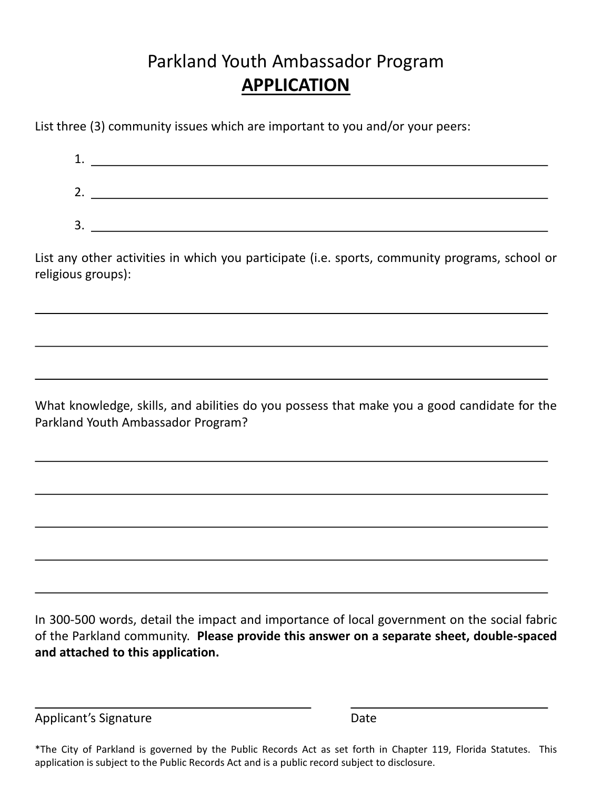### Parkland Youth Ambassador Program **APPLICATION**

List three (3) community issues which are important to you and/or your peers:

| ٠<br>ı. |  |
|---------|--|
| ∍<br>z. |  |
| 3.      |  |

List any other activities in which you participate (i.e. sports, community programs, school or religious groups):

What knowledge, skills, and abilities do you possess that make you a good candidate for the Parkland Youth Ambassador Program?

In 300-500 words, detail the impact and importance of local government on the social fabric of the Parkland community. **Please provide this answer on a separate sheet, double-spaced and attached to this application.**

Applicant's Signature Date

\*The City of Parkland is governed by the Public Records Act as set forth in Chapter 119, Florida Statutes. This application is subject to the Public Records Act and is a public record subject to disclosure.